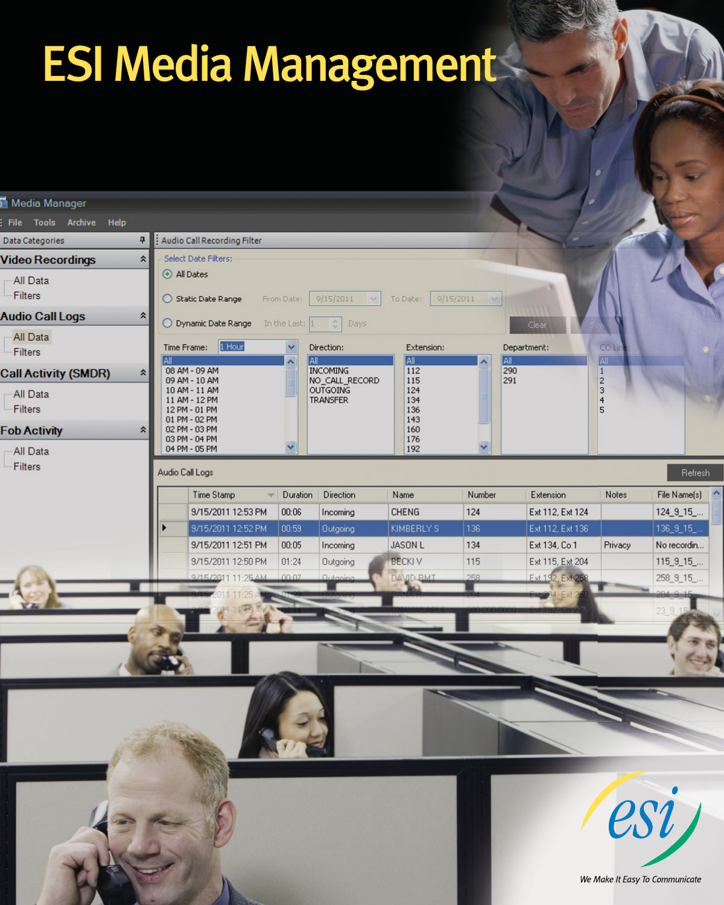# ESI Media Management

| Media Manager                              |                             |                                                                  |                          |                                    |                          |                                   |                                     |                                         |                                        |  |  |
|--------------------------------------------|-----------------------------|------------------------------------------------------------------|--------------------------|------------------------------------|--------------------------|-----------------------------------|-------------------------------------|-----------------------------------------|----------------------------------------|--|--|
| File Tools Archive Help                    |                             |                                                                  |                          |                                    |                          |                                   |                                     |                                         |                                        |  |  |
| 4<br>Data Categories                       | Audio Call Recording Filter |                                                                  |                          |                                    |                          |                                   |                                     |                                         |                                        |  |  |
| $\hat{z}$<br><b>/ideo Recordings</b>       | Select Date Filters:        |                                                                  |                          |                                    |                          |                                   |                                     |                                         |                                        |  |  |
| All Data<br>Filters                        | All Dates                   | Static Date Range                                                | From Date:               | 9/15/2011<br>$\mathcal{A}$         | To Date:                 | 9/15/2011<br>$\sim$               |                                     |                                         |                                        |  |  |
| <b>Audio Call Logs</b><br>$\hat{z}$        |                             | O Dynamic Date Range                                             | In the Last: 1           | Ğ<br>Days                          |                          |                                   | Clear                               |                                         |                                        |  |  |
| All Data<br>Filters                        | All                         | Time Frame: 1 Hour                                               | $\checkmark$<br>IAII     | Direction:                         | Extension:<br>All        |                                   | Department:                         | <b>COLI</b><br>All <sup>-</sup>         |                                        |  |  |
| Call Activity (SMDR)<br>$\hat{\mathbf{x}}$ |                             | 08 AM - 09 AM<br>09 AM - 10 AM                                   |                          | <b>INCOMING</b><br>NO_CALL_RECORD  | 112<br>115               | $\frac{\mathsf{All}}{290}$<br>291 |                                     | $\mathbf{1}$<br>$\overline{\mathbf{c}}$ |                                        |  |  |
| All Data<br>Filters                        |                             | 10 AM - 11 AM<br>11 AM - 12 PM<br>12 PM - 01 PM<br>01 PM - 02 PM |                          | <b>OUTGOING</b><br><b>TRANSFER</b> | 124<br>134<br>136<br>143 |                                   |                                     | 3<br>$\overline{4}$<br>5                |                                        |  |  |
| <b>Ob Activity</b><br>$\hat{z}$            |                             | 02 PM - 03 PM<br>03 PM - 04 PM                                   |                          |                                    | 160<br>176               |                                   |                                     |                                         |                                        |  |  |
| All Data                                   |                             | 04 PM - 05 PM                                                    |                          |                                    | 192                      | $\checkmark$                      |                                     |                                         |                                        |  |  |
| Filters                                    | Audio Call Logs             | Time Stamp                                                       | Duration<br>$\mathbf{v}$ | Direction                          | Name                     | Number                            | Extension                           | Notes                                   | Refresh<br>File Name(s) $\triangle$    |  |  |
|                                            |                             | 9/15/2011 12:53 PM                                               | 00:06                    | Incoming                           | <b>CHENG</b>             | 124                               | Ext 112, Ext 124                    |                                         | $124_9_15$                             |  |  |
|                                            |                             | 9/15/2011 12:52 PM                                               | 00:59                    | Outgoing                           | KIMBERLY'S               | 136                               | Ext 112, Ext 136                    |                                         | $136\_9\_15$                           |  |  |
|                                            |                             | 9/15/2011 12:51 PM                                               | 00:05                    | Incoming                           | <b>JASON L</b>           | 134                               | Ext 134, Co 1                       | Privacy                                 | No recordin                            |  |  |
|                                            |                             | 9/15/2011 12:50 PM                                               | 01:24<br>00:07           | Outgoing<br>Qutan                  | <b>BECKIV</b>            | 115<br>258                        | Ext 115, Ext 204<br>Ext 192, Ext 25 |                                         | $115\_9\_15$                           |  |  |
|                                            |                             | 9/15/2011 11:25 AM                                               |                          |                                    | DAVID BMT                |                                   |                                     |                                         | 258_9_15_<br>$64.8 - 15$               |  |  |
|                                            |                             |                                                                  |                          |                                    |                          |                                   |                                     |                                         | 23 9 15                                |  |  |
|                                            |                             |                                                                  |                          |                                    |                          |                                   |                                     |                                         |                                        |  |  |
|                                            |                             |                                                                  |                          |                                    |                          |                                   |                                     |                                         | esi)<br>We Make It Easy To Communicate |  |  |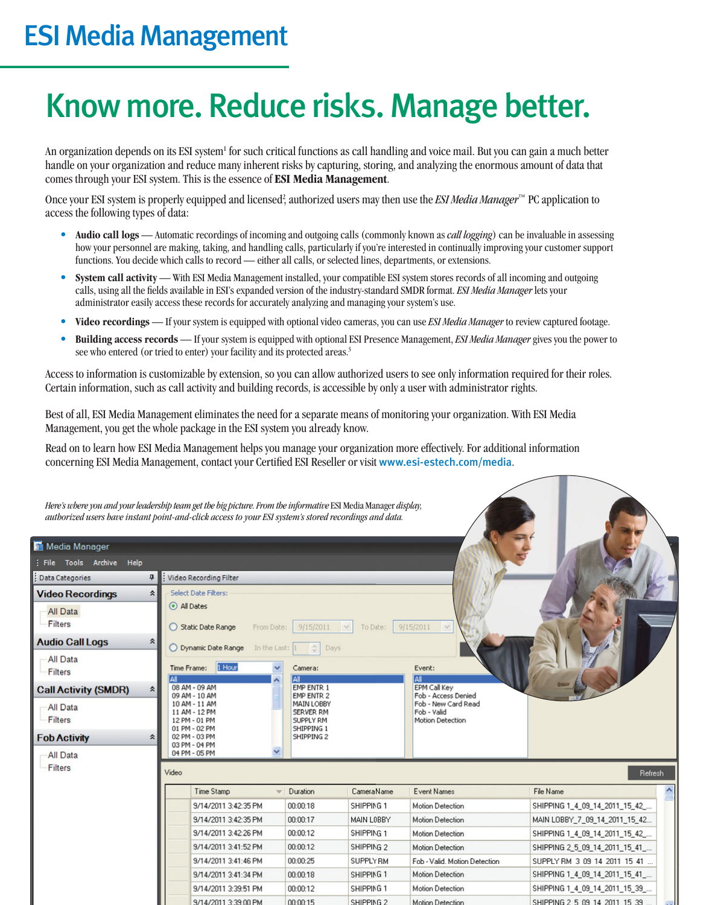# ESI Media Management

# Know more. Reduce risks. Manage better.

An organization depends on its ESI system<sup>1</sup> for such critical functions as call handling and voice mail. But you can gain a much better handle on your organization and reduce many inherent risks by capturing, storing, and analyzing the enormous amount of data that comes through your ESI system. This is the essence of **ESI Media Management**.

Once your ESI system is properly equipped and licensed<sup>2</sup>, authorized users may then use the *ESI Media Manager*™ PC application to access the following types of data:

- **Audio call logs** Automatic recordings of incoming and outgoing calls (commonly known as *call logging*) can be invaluable in assessing how your personnel are making, taking, and handling calls, particularly if you're interested in continually improving your customer support functions. You decide which calls to record — either all calls, or selected lines, departments, or extensions.
- **System call activity** With ESI Media Management installed, your compatible ESI system stores records of all incoming and outgoing calls, using all the fields available in ESI's expanded version of the industry-standard SMDR format. *ESI Media Manager* lets your administrator easily access these records for accurately analyzing and managing your system's use.
- **Video recordings** If your system is equipped with optional video cameras, you can use *ESI Media Manager* to review captured footage.
- **Building access records** If your system is equipped with optional ESI Presence Management, *ESI Media Manager* gives you the power to see who entered (or tried to enter) your facility and its protected areas.<sup>3</sup>

Access to information is customizable by extension, so you can allow authorized users to see only information required for their roles. Certain information, such as call activity and building records, is accessible by only a user with administrator rights.

Best of all, ESI Media Management eliminates the need for a separate means of monitoring your organization. With ESI Media Management, you get the whole package in the ESI system you already know.

Read on to learn how ESI Media Management helps you manage your organization more effectively. For additional information concerning ESI Media Management, contact your Certified ESI Reseller or visit www.esi-estech.com/media.

|                             | Here's where you and your leadership team get the big picture. From the informative ESI Media Manager display,<br>authorized users have instant point-and-click access to your ESI system's stored recordings and data. |                                                                  |                |                                                        |                                |
|-----------------------------|-------------------------------------------------------------------------------------------------------------------------------------------------------------------------------------------------------------------------|------------------------------------------------------------------|----------------|--------------------------------------------------------|--------------------------------|
| Media Manager               |                                                                                                                                                                                                                         |                                                                  |                |                                                        |                                |
| ; File Tools Archive Help   |                                                                                                                                                                                                                         |                                                                  |                |                                                        |                                |
| Data Categories             | <b>4 Video Recording Filter</b>                                                                                                                                                                                         |                                                                  |                |                                                        |                                |
| <b>Video Recordings</b>     | Select Date Filters:<br>$\hat{z}$                                                                                                                                                                                       |                                                                  |                |                                                        |                                |
| All Data<br>Filters         | All Dates<br>Static Date Range                                                                                                                                                                                          | 9/15/2011<br>From Date:                                          | To Date:<br>Y. | 9/15/2011<br>$\sim$                                    |                                |
| <b>Audio Call Logs</b>      | °<br>O Dynamic Date Range                                                                                                                                                                                               | In the Last: 1<br>$\frac{\lambda}{2}$<br>Days                    |                |                                                        |                                |
| <b>All Data</b><br>Filters  | 1 Hour<br>Time Frame:                                                                                                                                                                                                   | $\checkmark$<br>Camera:<br>All                                   |                | Event:<br><b>AII</b>                                   |                                |
| <b>Call Activity (SMDR)</b> | 08 AM - 09 AM<br>$\hat{\mathbf{z}}$<br>09 AM - 10 AM                                                                                                                                                                    | <b>EMP ENTR 1</b><br><b>EMP ENTR 2</b>                           |                | EPM Call Key<br>Fob - Access Denied                    |                                |
| All Data<br>Filters         | 10 AM - 11 AM<br>11 AM - 12 PM<br>12 PM - 01 PM<br>01 PM - 02 PM                                                                                                                                                        | MAIN LOBBY<br><b>SERVER RM</b><br><b>SUPPLY RM</b><br>SHIPPING 1 |                | Fob - New Card Read<br>Fob - Valid<br>Motion Detection |                                |
| <b>Fob Activity</b>         | 02 PM - 03 PM<br>$\hat{\mathbf{x}}$<br>03 PM - 04 PM                                                                                                                                                                    | SHIPPING 2                                                       |                |                                                        |                                |
| <b>All Data</b>             | 04 PM - 05 PM                                                                                                                                                                                                           |                                                                  |                |                                                        |                                |
| Filters                     | Video                                                                                                                                                                                                                   |                                                                  |                |                                                        | Refresh                        |
|                             | Time Stamp                                                                                                                                                                                                              | Duration                                                         | Camera Name    | Event Names                                            | File Name                      |
|                             | 9/14/2011 3:42:35 PM                                                                                                                                                                                                    | 00:00:18                                                         | SHIPPING 1     | Motion Detection                                       | SHIPPING 1_4_09_14_2011_15_42_ |
|                             | 9/14/2011 3:42:35 PM                                                                                                                                                                                                    | 00:00:17                                                         | MAIN LOBBY     | Motion Detection                                       | MAIN LOBBY_7_09_14_2011_15_42  |
|                             | 9/14/2011 3:42:26 PM                                                                                                                                                                                                    | 00:00:12                                                         | SHIPPING 1     | Motion Detection                                       | SHIPPING 1_4_09_14_2011_15_42_ |
|                             | 9/14/2011 3:41:52 PM                                                                                                                                                                                                    | 00:00:12                                                         | SHIPPING 2     | Motion Detection                                       | SHIPPING 2_5_09_14_2011_15_41_ |
|                             | 9/14/2011 3:41:46 PM                                                                                                                                                                                                    | 00:00:25                                                         | SUPPLY RM      | Fob - Valid, Motion Detection                          | SUPPLY RM 3 09 14 2011 15 41   |
|                             | 9/14/2011 3:41:34 PM                                                                                                                                                                                                    | 00:00:18                                                         | SHIPPING 1     | Motion Detection                                       | SHIPPING 1_4_09_14_2011_15_41_ |
|                             | 9/14/2011 3:39:51 PM                                                                                                                                                                                                    | 00:00:12                                                         | SHIPPING 1     | Motion Detection                                       | SHIPPING 1_4_09_14_2011_15_39  |

SHIPPING 2

Motion Detection

SHIPPING 2 5 09 14 2011 15 39

9/14/2011 3:39:00 PM

00:00:15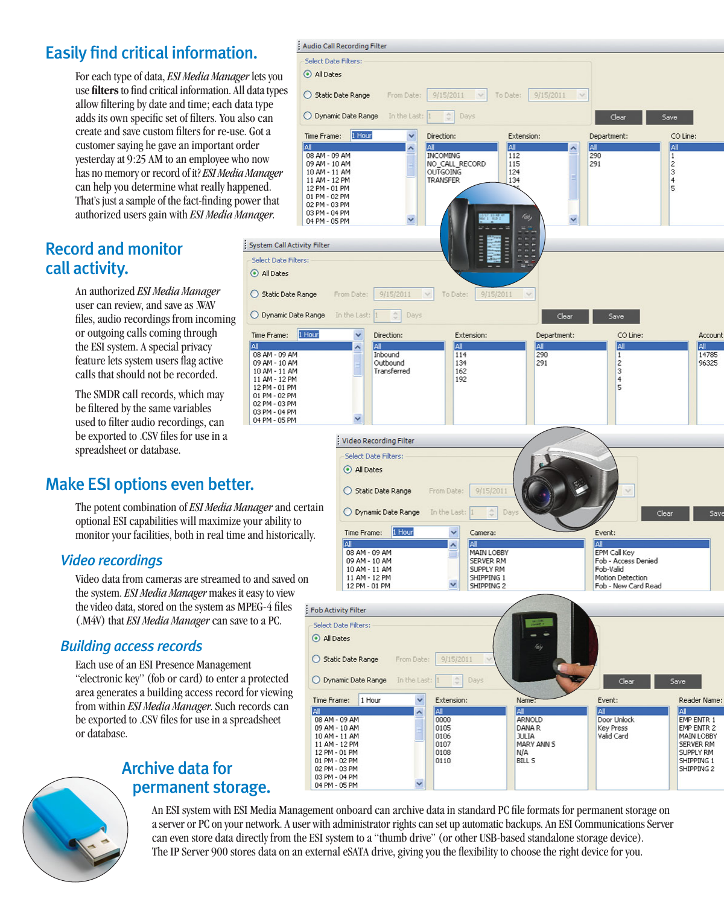# Easily find critical information.

For each type of data, *ESI Media Manager* lets you use **filters** to find critical information. All data types allow filtering by date and time; each data type adds its own specific set of filters. You also can create and save custom filters for re-use. Got a customer saying he gave an important order yesterday at 9:25 AM to an employee who now has no memory or record of it? *ESI Media Manager* can help you determine what really happened. That's just a sample of the fact-finding power that authorized users gain with *ESI Media Manager*.

## Record and monitor call activity.

An authorized *ESI Media Manager* user can review, and save as .WAV files, audio recordings from incoming or outgoing calls coming through the ESI system. A special privacy feature lets system users flag active calls that should not be recorded.

The SMDR call records, which may be filtered by the same variables used to filter audio recordings, can be exported to .CSV files for use in a spreadsheet or database.

# Make ESI options even better.

The potent combination of *ESI Media Manager* and certain optional ESI capabilities will maximize your ability to monitor your facilities, both in real time and historically.

lai

### *Video recordings*

Video data from cameras are streamed to and saved on the system. *ESI Media Manager* makes it easy to view the video data, stored on the system as MPEG-4 files (.M4V) that *ESI Media Manager* can save to a PC.

### *Building access records*

Each use of an ESI Presence Management "electronic key" (fob or card) to enter a protected area generates a building access record for viewing from within *ESI Media Manager*. Such records can be exported to .CSV files for use in a spreadsheet or database.



### Archive data for permanent storage.



SHIPPING<sub>2</sub>

An ESI system with ESI Media Management onboard can archive data in standard PC file formats for permanent storage on a server or PC on your network. A user with administrator rights can set up automatic backups. An ESI Communications Server can even store data directly from the ESI system to a "thumb drive" (or other USB-based standalone storage device). The IP Server 900 stores data on an external eSATA drive, giving you the flexibility to choose the right device for you.

02 PM - 03 PM

03 PM - 04 PM 04 PM - 05 PM